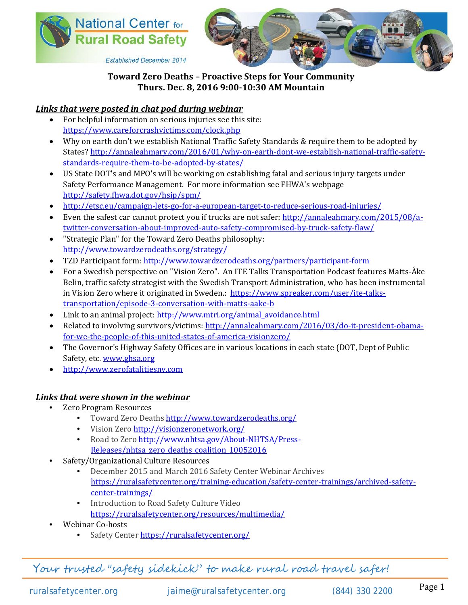



**Established December 2014** 

## **Toward Zero Deaths – Proactive Steps for Your Community Thurs. Dec. 8, 2016 9:00-10:30 AM Mountain**

## *Links that were posted in chat pod during webinar*

- For helpful information on serious injuries see this site: <https://www.careforcrashvictims.com/clock.php>
- Why on earth don't we establish National Traffic Safety Standards & require them to be adopted by States[? http://annaleahmary.com/2016/01/why-on-earth-dont-we-establish-national-traffic-safety](http://annaleahmary.com/2016/01/why-on-earth-dont-we-establish-national-traffic-safety-standards-require-them-to-be-adopted-by-states/)[standards-require-them-to-be-adopted-by-states/](http://annaleahmary.com/2016/01/why-on-earth-dont-we-establish-national-traffic-safety-standards-require-them-to-be-adopted-by-states/)
- US State DOT's and MPO's will be working on establishing fatal and serious injury targets under Safety Performance Management. For more information see FHWA's webpage <http://safety.fhwa.dot.gov/hsip/spm/>
- <http://etsc.eu/campaign-lets-go-for-a-european-target-to-reduce-serious-road-injuries/>
- Even the safest car cannot protect you if trucks are not safer[: http://annaleahmary.com/2015/08/a](http://annaleahmary.com/2015/08/a-twitter-conversation-about-improved-auto-safety-compromised-by-truck-safety-flaw/)[twitter-conversation-about-improved-auto-safety-compromised-by-truck-safety-flaw/](http://annaleahmary.com/2015/08/a-twitter-conversation-about-improved-auto-safety-compromised-by-truck-safety-flaw/)
- "Strategic Plan" for the Toward Zero Deaths philosophy: <http://www.towardzerodeaths.org/strategy/>
- TZD Participant form:<http://www.towardzerodeaths.org/partners/participant-form>
- For a Swedish perspective on "Vision Zero". An ITE Talks Transportation Podcast features Matts-Åke Belin, traffic safety strategist with the Swedish Transport Administration, who has been instrumental in Vision Zero where it originated in Sweden.: [https://www.spreaker.com/user/ite-talks](https://www.spreaker.com/user/ite-talks-transportation/episode-3-conversation-with-matts-aake-b)[transportation/episode-3-conversation-with-matts-aake-b](https://www.spreaker.com/user/ite-talks-transportation/episode-3-conversation-with-matts-aake-b)
- Link to an animal project: [http://www.mtri.org/animal\\_avoidance.html](http://www.mtri.org/animal_avoidance.html)
- Related to involving survivors/victims[: http://annaleahmary.com/2016/03/do-it-president-obama](http://annaleahmary.com/2016/03/do-it-president-obama-for-we-the-people-of-this-united-states-of-america-visionzero/)[for-we-the-people-of-this-united-states-of-america-visionzero/](http://annaleahmary.com/2016/03/do-it-president-obama-for-we-the-people-of-this-united-states-of-america-visionzero/)
- The Governor's Highway Safety Offices are in various locations in each state (DOT, Dept of Public Safety, etc. [www.ghsa.org](http://www.ghsa.org/)
- [http://www.zerofatalitiesnv.com](http://www.zerofatalitiesnv.com/)

## *Links that were shown in the webinar*

- Zero Program Resources
	- Toward Zero Deaths <http://www.towardzerodeaths.org/>
	- Vision Zero <http://visionzeronetwork.org/>
	- Road to Zero [http://www.nhtsa.gov/About-NHTSA/Press-](http://www.nhtsa.gov/About-NHTSA/Press-Releases/nhtsa_zero_deaths_coalition_10052016)[Releases/nhtsa\\_zero\\_deaths\\_coalition\\_10052016](http://www.nhtsa.gov/About-NHTSA/Press-Releases/nhtsa_zero_deaths_coalition_10052016)
- Safety/Organizational Culture Resources
	- December 2015 and March 2016 Safety Center Webinar Archives [https://ruralsafetycenter.org/training-education/safety-center-trainings/archived-safety](https://ruralsafetycenter.org/training-education/safety-center-trainings/archived-safety-center-trainings/)[center-trainings/](https://ruralsafetycenter.org/training-education/safety-center-trainings/archived-safety-center-trainings/)
	- Introduction to Road Safety Culture Video <https://ruralsafetycenter.org/resources/multimedia/>
- Webinar Co-hosts
	- Safety Center <https://ruralsafetycenter.org/>

Your trusted "safety sidekick" to make rural road travel safer!

ruralsafetycenter.org [jaime@ruralsafetycenter.org](mailto:jaime@ruralsafetycenter.org) (844) 330 2200